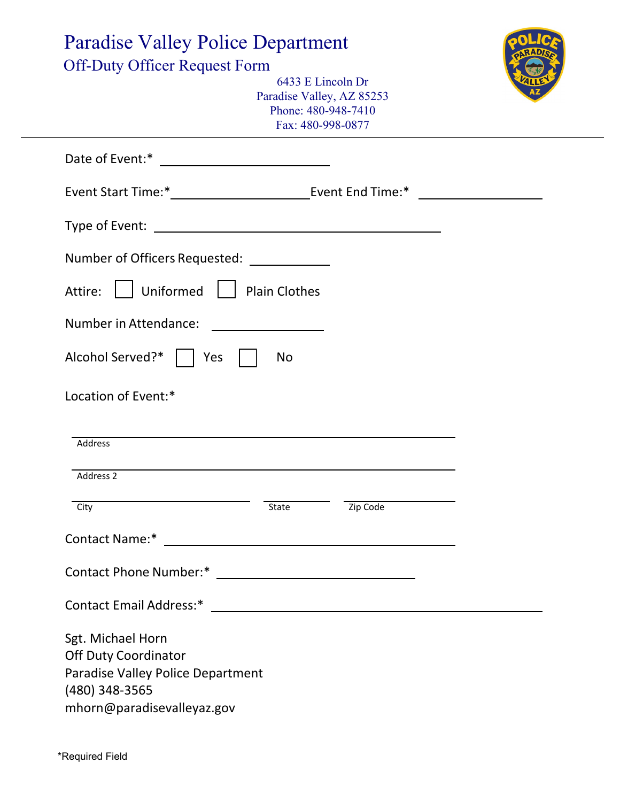| <b>Paradise Valley Police Department</b><br><b>Off-Duty Officer Request Form</b><br>6433 E Lincoln Dr<br>Paradise Valley, AZ 85253<br>Phone: 480-948-7410<br>Fax: 480-998-0877 |           |          |  |
|--------------------------------------------------------------------------------------------------------------------------------------------------------------------------------|-----------|----------|--|
|                                                                                                                                                                                |           |          |  |
|                                                                                                                                                                                |           |          |  |
|                                                                                                                                                                                |           |          |  |
| Number of Officers Requested: _____________                                                                                                                                    |           |          |  |
| Uniformed   Plain Clothes<br>Attire:                                                                                                                                           |           |          |  |
| Number in Attendance:                                                                                                                                                          |           |          |  |
| Alcohol Served?*     Yes                                                                                                                                                       | <b>No</b> |          |  |
| Location of Event:*<br>Address                                                                                                                                                 |           |          |  |
| Address 2                                                                                                                                                                      |           |          |  |
| City                                                                                                                                                                           | State     | Zip Code |  |
|                                                                                                                                                                                |           |          |  |
|                                                                                                                                                                                |           |          |  |
|                                                                                                                                                                                |           |          |  |
| Sgt. Michael Horn<br><b>Off Duty Coordinator</b><br>Paradise Valley Police Department<br>(480) 348-3565<br>mhorn@paradisevalleyaz.gov                                          |           |          |  |